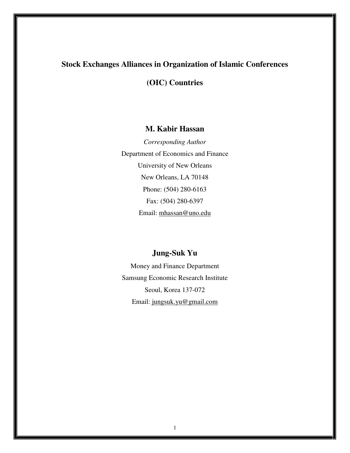# **Stock Exchanges Alliances in Organization of Islamic Conferences**

# **(OIC) Countries**

## **M. Kabir Hassan**

*Corresponding Author*  Department of Economics and Finance University of New Orleans New Orleans, LA 70148 Phone: (504) 280-6163 Fax: (504) 280-6397 Email: mhassan@uno.edu

# **Jung-Suk Yu**

Money and Finance Department Samsung Economic Research Institute Seoul, Korea 137-072 Email: jungsuk.yu@gmail.com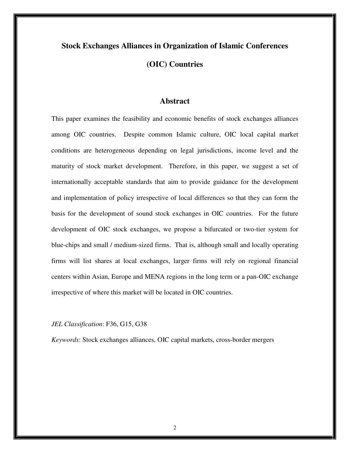# **Stock Exchanges Alliances in Organization of Islamic Conferences (OIC) Countries**

## **Abstract**

This paper examines the feasibility and economic benefits of stock exchanges alliances among OIC countries. Despite common Islamic culture, OIC local capital market conditions are heterogeneous depending on legal jurisdictions, income level and the maturity of stock market development. Therefore, in this paper, we suggest a set of internationally acceptable standards that aim to provide guidance for the development and implementation of policy irrespective of local differences so that they can form the basis for the development of sound stock exchanges in OIC countries. For the future development of OIC stock exchanges, we propose a bifurcated or two-tier system for blue-chips and small / medium-sized firms. That is, although small and locally operating firms will list shares at local exchanges, larger firms will rely on regional financial centers within Asian, Europe and MENA regions in the long term or a pan-OIC exchange irrespective of where this market will be located in OIC countries.

#### *JEL Classification*: F36, G15, G38

*Keywords*: Stock exchanges alliances, OIC capital markets, cross-border mergers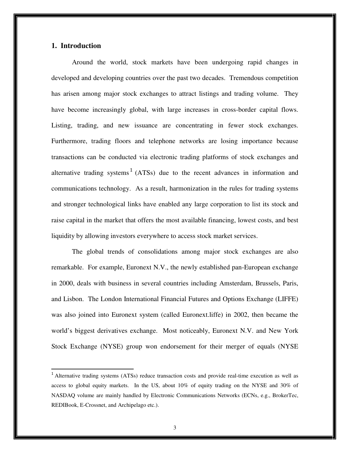## **1. Introduction**

 $\overline{a}$ 

Around the world, stock markets have been undergoing rapid changes in developed and developing countries over the past two decades. Tremendous competition has arisen among major stock exchanges to attract listings and trading volume. They have become increasingly global, with large increases in cross-border capital flows. Listing, trading, and new issuance are concentrating in fewer stock exchanges. Furthermore, trading floors and telephone networks are losing importance because transactions can be conducted via electronic trading platforms of stock exchanges and alternative trading systems<sup>1</sup> (ATSs) due to the recent advances in information and communications technology. As a result, harmonization in the rules for trading systems and stronger technological links have enabled any large corporation to list its stock and raise capital in the market that offers the most available financing, lowest costs, and best liquidity by allowing investors everywhere to access stock market services.

The global trends of consolidations among major stock exchanges are also remarkable. For example, Euronext N.V., the newly established pan-European exchange in 2000, deals with business in several countries including Amsterdam, Brussels, Paris, and Lisbon. The London International Financial Futures and Options Exchange (LIFFE) was also joined into Euronext system (called Euronext.liffe) in 2002, then became the world's biggest derivatives exchange. Most noticeably, Euronext N.V. and New York Stock Exchange (NYSE) group won endorsement for their merger of equals (NYSE

<sup>&</sup>lt;sup>1</sup> Alternative trading systems (ATSs) reduce transaction costs and provide real-time execution as well as access to global equity markets. In the US, about 10% of equity trading on the NYSE and 30% of NASDAQ volume are mainly handled by Electronic Communications Networks (ECNs, e.g., BrokerTec, REDIBook, E-Crossnet, and Archipelago etc.).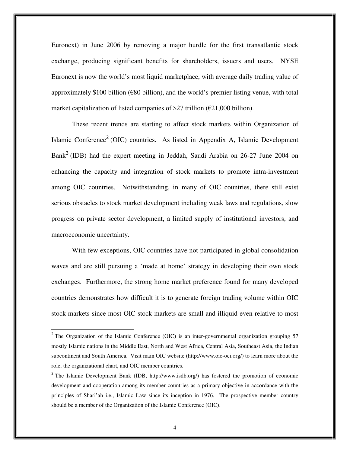Euronext) in June 2006 by removing a major hurdle for the first transatlantic stock exchange, producing significant benefits for shareholders, issuers and users. NYSE Euronext is now the world's most liquid marketplace, with average daily trading value of approximately \$100 billion ( $\epsilon$ 80 billion), and the world's premier listing venue, with total market capitalization of listed companies of \$27 trillion  $(\text{\textsterling}21,000 \text{ billion})$ .

These recent trends are starting to affect stock markets within Organization of Islamic Conference<sup>2</sup> (OIC) countries. As listed in Appendix A, Islamic Development Bank<sup>3</sup> (IDB) had the expert meeting in Jeddah, Saudi Arabia on 26-27 June 2004 on enhancing the capacity and integration of stock markets to promote intra-investment among OIC countries. Notwithstanding, in many of OIC countries, there still exist serious obstacles to stock market development including weak laws and regulations, slow progress on private sector development, a limited supply of institutional investors, and macroeconomic uncertainty.

With few exceptions, OIC countries have not participated in global consolidation waves and are still pursuing a 'made at home' strategy in developing their own stock exchanges. Furthermore, the strong home market preference found for many developed countries demonstrates how difficult it is to generate foreign trading volume within OIC stock markets since most OIC stock markets are small and illiquid even relative to most

<sup>&</sup>lt;sup>2</sup> The Organization of the Islamic Conference (OIC) is an inter-governmental organization grouping 57 mostly Islamic nations in the Middle East, North and West Africa, Central Asia, Southeast Asia, the Indian subcontinent and South America. Visit main OIC website (http://www.oic-oci.org/) to learn more about the role, the organizational chart, and OIC member countries.

<sup>&</sup>lt;sup>3</sup> The Islamic Development Bank (IDB, http://www.isdb.org/) has fostered the promotion of economic development and cooperation among its member countries as a primary objective in accordance with the principles of Shari'ah i.e., Islamic Law since its inception in 1976. The prospective member country should be a member of the Organization of the Islamic Conference (OIC).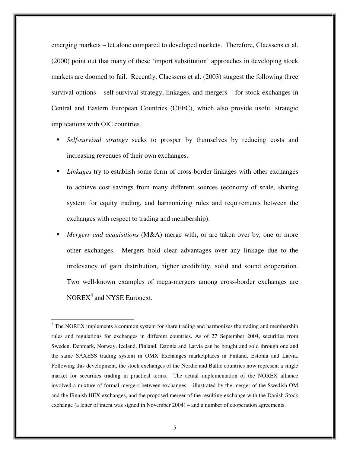emerging markets – let alone compared to developed markets. Therefore, Claessens et al. (2000) point out that many of these 'import substitution' approaches in developing stock markets are doomed to fail. Recently, Claessens et al. (2003) suggest the following three survival options – self-survival strategy, linkages, and mergers – for stock exchanges in Central and Eastern European Countries (CEEC), which also provide useful strategic implications with OIC countries.

- *Self-survival strategy* seeks to prosper by themselves by reducing costs and increasing revenues of their own exchanges.
- *Linkages* try to establish some form of cross-border linkages with other exchanges to achieve cost savings from many different sources (economy of scale, sharing system for equity trading, and harmonizing rules and requirements between the exchanges with respect to trading and membership).
- *Mergers and acquisitions* (M&A) merge with, or are taken over by, one or more other exchanges. Mergers hold clear advantages over any linkage due to the irrelevancy of gain distribution, higher credibility, solid and sound cooperation. Two well-known examples of mega-mergers among cross-border exchanges are NOREX<sup>4</sup> and NYSE Euronext.

<sup>&</sup>lt;sup>4</sup> The NOREX implements a common system for share trading and harmonizes the trading and membership rules and regulations for exchanges in different countries. As of 27 September 2004, securities from Sweden, Denmark, Norway, Iceland, Finland, Estonia and Latvia can be bought and sold through one and the same SAXESS trading system in OMX Exchanges marketplaces in Finland, Estonia and Latvia. Following this development, the stock exchanges of the Nordic and Baltic countries now represent a single market for securities trading in practical terms. The actual implementation of the NOREX alliance involved a mixture of formal mergers between exchanges – illustrated by the merger of the Swedish OM and the Finnish HEX exchanges, and the proposed merger of the resulting exchange with the Danish Stock exchange (a letter of intent was signed in November 2004) – and a number of cooperation agreements.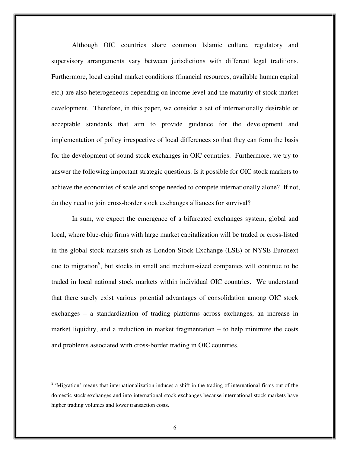Although OIC countries share common Islamic culture, regulatory and supervisory arrangements vary between jurisdictions with different legal traditions. Furthermore, local capital market conditions (financial resources, available human capital etc.) are also heterogeneous depending on income level and the maturity of stock market development. Therefore, in this paper, we consider a set of internationally desirable or acceptable standards that aim to provide guidance for the development and implementation of policy irrespective of local differences so that they can form the basis for the development of sound stock exchanges in OIC countries. Furthermore, we try to answer the following important strategic questions. Is it possible for OIC stock markets to achieve the economies of scale and scope needed to compete internationally alone? If not, do they need to join cross-border stock exchanges alliances for survival?

In sum, we expect the emergence of a bifurcated exchanges system, global and local, where blue-chip firms with large market capitalization will be traded or cross-listed in the global stock markets such as London Stock Exchange (LSE) or NYSE Euronext due to migration<sup>5</sup>, but stocks in small and medium-sized companies will continue to be traded in local national stock markets within individual OIC countries. We understand that there surely exist various potential advantages of consolidation among OIC stock exchanges – a standardization of trading platforms across exchanges, an increase in market liquidity, and a reduction in market fragmentation – to help minimize the costs and problems associated with cross-border trading in OIC countries.

<sup>&</sup>lt;sup>5</sup> 'Migration' means that internationalization induces a shift in the trading of international firms out of the domestic stock exchanges and into international stock exchanges because international stock markets have higher trading volumes and lower transaction costs.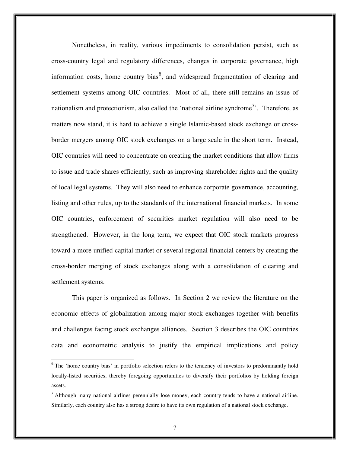Nonetheless, in reality, various impediments to consolidation persist, such as cross-country legal and regulatory differences, changes in corporate governance, high information costs, home country bias<sup>6</sup>, and widespread fragmentation of clearing and settlement systems among OIC countries. Most of all, there still remains an issue of nationalism and protectionism, also called the 'national airline syndrome<sup>7</sup>. Therefore, as matters now stand, it is hard to achieve a single Islamic-based stock exchange or crossborder mergers among OIC stock exchanges on a large scale in the short term. Instead, OIC countries will need to concentrate on creating the market conditions that allow firms to issue and trade shares efficiently, such as improving shareholder rights and the quality of local legal systems. They will also need to enhance corporate governance, accounting, listing and other rules, up to the standards of the international financial markets. In some OIC countries, enforcement of securities market regulation will also need to be strengthened. However, in the long term, we expect that OIC stock markets progress toward a more unified capital market or several regional financial centers by creating the cross-border merging of stock exchanges along with a consolidation of clearing and settlement systems.

This paper is organized as follows. In Section 2 we review the literature on the economic effects of globalization among major stock exchanges together with benefits and challenges facing stock exchanges alliances. Section 3 describes the OIC countries data and econometric analysis to justify the empirical implications and policy

<sup>&</sup>lt;sup>6</sup> The 'home country bias' in portfolio selection refers to the tendency of investors to predominantly hold locally-listed securities, thereby foregoing opportunities to diversify their portfolios by holding foreign assets.

<sup>&</sup>lt;sup>7</sup> Although many national airlines perennially lose money, each country tends to have a national airline. Similarly, each country also has a strong desire to have its own regulation of a national stock exchange.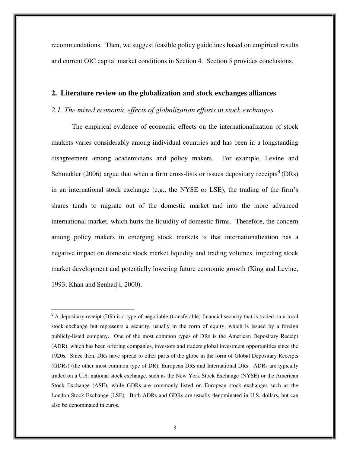recommendations. Then, we suggest feasible policy guidelines based on empirical results and current OIC capital market conditions in Section 4. Section 5 provides conclusions.

#### **2. Literature review on the globalization and stock exchanges alliances**

## *2.1. The mixed economic effects of globalization efforts in stock exchanges*

The empirical evidence of economic effects on the internationalization of stock markets varies considerably among individual countries and has been in a longstanding disagreement among academicians and policy makers. For example, Levine and Schmukler (2006) argue that when a firm cross-lists or issues depositary receipts  $8$  (DRs) in an international stock exchange (e.g., the NYSE or LSE), the trading of the firm's shares tends to migrate out of the domestic market and into the more advanced international market, which hurts the liquidity of domestic firms. Therefore, the concern among policy makers in emerging stock markets is that internationalization has a negative impact on domestic stock market liquidity and trading volumes, impeding stock market development and potentially lowering future economic growth (King and Levine, 1993; Khan and Senhadji, 2000).

<sup>&</sup>lt;sup>8</sup> A depositary receipt (DR) is a type of negotiable (transferable) financial security that is traded on a local stock exchange but represents a security, usually in the form of equity, which is issued by a foreign publicly-listed company. One of the most common types of DRs is the American Depositary Receipt (ADR), which has been offering companies, investors and traders global investment opportunities since the 1920s. Since then, DRs have spread to other parts of the globe in the form of Global Depositary Receipts (GDRs) (the other most common type of DR), European DRs and International DRs. ADRs are typically traded on a U.S. national stock exchange, such as the New York Stock Exchange (NYSE) or the American Stock Exchange (ASE), while GDRs are commonly listed on European stock exchanges such as the London Stock Exchange (LSE). Both ADRs and GDRs are usually denominated in U.S. dollars, but can also be denominated in euros.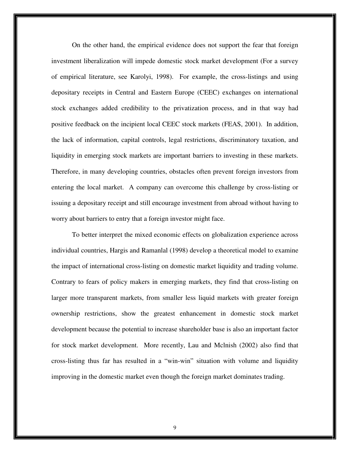On the other hand, the empirical evidence does not support the fear that foreign investment liberalization will impede domestic stock market development (For a survey of empirical literature, see Karolyi, 1998). For example, the cross-listings and using depositary receipts in Central and Eastern Europe (CEEC) exchanges on international stock exchanges added credibility to the privatization process, and in that way had positive feedback on the incipient local CEEC stock markets (FEAS, 2001). In addition, the lack of information, capital controls, legal restrictions, discriminatory taxation, and liquidity in emerging stock markets are important barriers to investing in these markets. Therefore, in many developing countries, obstacles often prevent foreign investors from entering the local market. A company can overcome this challenge by cross-listing or issuing a depositary receipt and still encourage investment from abroad without having to worry about barriers to entry that a foreign investor might face.

 To better interpret the mixed economic effects on globalization experience across individual countries, Hargis and Ramanlal (1998) develop a theoretical model to examine the impact of international cross-listing on domestic market liquidity and trading volume. Contrary to fears of policy makers in emerging markets, they find that cross-listing on larger more transparent markets, from smaller less liquid markets with greater foreign ownership restrictions, show the greatest enhancement in domestic stock market development because the potential to increase shareholder base is also an important factor for stock market development. More recently, Lau and Mclnish (2002) also find that cross-listing thus far has resulted in a "win-win" situation with volume and liquidity improving in the domestic market even though the foreign market dominates trading.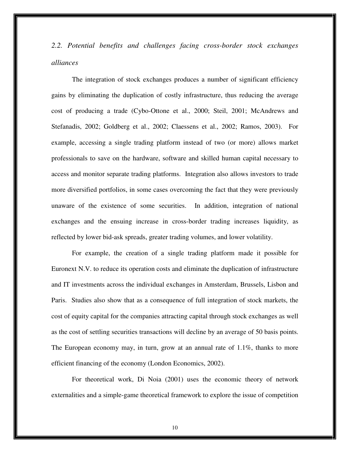*2.2. Potential benefits and challenges facing cross-border stock exchanges alliances* 

The integration of stock exchanges produces a number of significant efficiency gains by eliminating the duplication of costly infrastructure, thus reducing the average cost of producing a trade (Cybo-Ottone et al., 2000; Steil, 2001; McAndrews and Stefanadis, 2002; Goldberg et al., 2002; Claessens et al., 2002; Ramos, 2003). For example, accessing a single trading platform instead of two (or more) allows market professionals to save on the hardware, software and skilled human capital necessary to access and monitor separate trading platforms. Integration also allows investors to trade more diversified portfolios, in some cases overcoming the fact that they were previously unaware of the existence of some securities. In addition, integration of national exchanges and the ensuing increase in cross-border trading increases liquidity, as reflected by lower bid-ask spreads, greater trading volumes, and lower volatility.

For example, the creation of a single trading platform made it possible for Euronext N.V. to reduce its operation costs and eliminate the duplication of infrastructure and IT investments across the individual exchanges in Amsterdam, Brussels, Lisbon and Paris. Studies also show that as a consequence of full integration of stock markets, the cost of equity capital for the companies attracting capital through stock exchanges as well as the cost of settling securities transactions will decline by an average of 50 basis points. The European economy may, in turn, grow at an annual rate of 1.1%, thanks to more efficient financing of the economy (London Economics, 2002).

For theoretical work, Di Noia (2001) uses the economic theory of network externalities and a simple-game theoretical framework to explore the issue of competition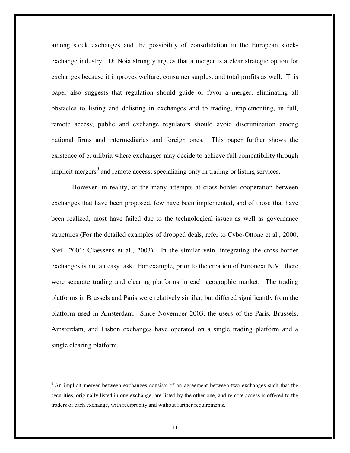among stock exchanges and the possibility of consolidation in the European stockexchange industry. Di Noia strongly argues that a merger is a clear strategic option for exchanges because it improves welfare, consumer surplus, and total profits as well. This paper also suggests that regulation should guide or favor a merger, eliminating all obstacles to listing and delisting in exchanges and to trading, implementing, in full, remote access; public and exchange regulators should avoid discrimination among national firms and intermediaries and foreign ones. This paper further shows the existence of equilibria where exchanges may decide to achieve full compatibility through implicit mergers<sup>9</sup> and remote access, specializing only in trading or listing services.

However, in reality, of the many attempts at cross-border cooperation between exchanges that have been proposed, few have been implemented, and of those that have been realized, most have failed due to the technological issues as well as governance structures (For the detailed examples of dropped deals, refer to Cybo-Ottone et al., 2000; Steil, 2001; Claessens et al., 2003). In the similar vein, integrating the cross-border exchanges is not an easy task. For example, prior to the creation of Euronext N.V., there were separate trading and clearing platforms in each geographic market. The trading platforms in Brussels and Paris were relatively similar, but differed significantly from the platform used in Amsterdam. Since November 2003, the users of the Paris, Brussels, Amsterdam, and Lisbon exchanges have operated on a single trading platform and a single clearing platform.

<sup>&</sup>lt;sup>9</sup> An implicit merger between exchanges consists of an agreement between two exchanges such that the securities, originally listed in one exchange, are listed by the other one, and remote access is offered to the traders of each exchange, with reciprocity and without further requirements.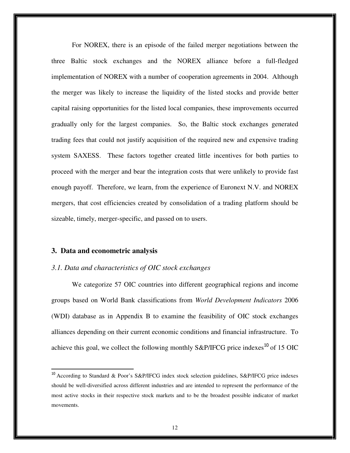For NOREX, there is an episode of the failed merger negotiations between the three Baltic stock exchanges and the NOREX alliance before a full-fledged implementation of NOREX with a number of cooperation agreements in 2004. Although the merger was likely to increase the liquidity of the listed stocks and provide better capital raising opportunities for the listed local companies, these improvements occurred gradually only for the largest companies. So, the Baltic stock exchanges generated trading fees that could not justify acquisition of the required new and expensive trading system SAXESS. These factors together created little incentives for both parties to proceed with the merger and bear the integration costs that were unlikely to provide fast enough payoff. Therefore, we learn, from the experience of Euronext N.V. and NOREX mergers, that cost efficiencies created by consolidation of a trading platform should be sizeable, timely, merger-specific, and passed on to users.

#### **3. Data and econometric analysis**

 $\overline{a}$ 

#### *3.1. Data and characteristics of OIC stock exchanges*

We categorize 57 OIC countries into different geographical regions and income groups based on World Bank classifications from *World Development Indicators* 2006 (WDI) database as in Appendix B to examine the feasibility of OIC stock exchanges alliances depending on their current economic conditions and financial infrastructure. To achieve this goal, we collect the following monthly S&P/IFCG price indexes<sup>10</sup> of 15 OIC

<sup>&</sup>lt;sup>10</sup> According to Standard & Poor's S&P/IFCG index stock selection guidelines, S&P/IFCG price indexes should be well-diversified across different industries and are intended to represent the performance of the most active stocks in their respective stock markets and to be the broadest possible indicator of market movements.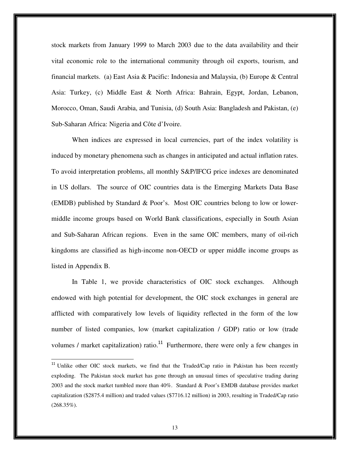stock markets from January 1999 to March 2003 due to the data availability and their vital economic role to the international community through oil exports, tourism, and financial markets. (a) East Asia & Pacific: Indonesia and Malaysia, (b) Europe & Central Asia: Turkey, (c) Middle East & North Africa: Bahrain, Egypt, Jordan, Lebanon, Morocco, Oman, Saudi Arabia, and Tunisia, (d) South Asia: Bangladesh and Pakistan, (e) Sub-Saharan Africa: Nigeria and Côte d'Ivoire.

When indices are expressed in local currencies, part of the index volatility is induced by monetary phenomena such as changes in anticipated and actual inflation rates. To avoid interpretation problems, all monthly S&P/IFCG price indexes are denominated in US dollars. The source of OIC countries data is the Emerging Markets Data Base (EMDB) published by Standard & Poor's. Most OIC countries belong to low or lowermiddle income groups based on World Bank classifications, especially in South Asian and Sub-Saharan African regions. Even in the same OIC members, many of oil-rich kingdoms are classified as high-income non-OECD or upper middle income groups as listed in Appendix B.

In Table 1, we provide characteristics of OIC stock exchanges. Although endowed with high potential for development, the OIC stock exchanges in general are afflicted with comparatively low levels of liquidity reflected in the form of the low number of listed companies, low (market capitalization / GDP) ratio or low (trade volumes / market capitalization) ratio.<sup>11</sup> Furthermore, there were only a few changes in

<sup>&</sup>lt;sup>11</sup> Unlike other OIC stock markets, we find that the Traded/Cap ratio in Pakistan has been recently exploding. The Pakistan stock market has gone through an unusual times of speculative trading during 2003 and the stock market tumbled more than 40%. Standard & Poor's EMDB database provides market capitalization (\$2875.4 million) and traded values (\$7716.12 million) in 2003, resulting in Traded/Cap ratio  $(268.35\%).$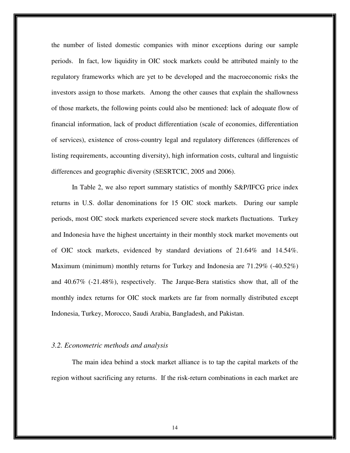the number of listed domestic companies with minor exceptions during our sample periods. In fact, low liquidity in OIC stock markets could be attributed mainly to the regulatory frameworks which are yet to be developed and the macroeconomic risks the investors assign to those markets. Among the other causes that explain the shallowness of those markets, the following points could also be mentioned: lack of adequate flow of financial information, lack of product differentiation (scale of economies, differentiation of services), existence of cross-country legal and regulatory differences (differences of listing requirements, accounting diversity), high information costs, cultural and linguistic differences and geographic diversity (SESRTCIC, 2005 and 2006).

In Table 2, we also report summary statistics of monthly S&P/IFCG price index returns in U.S. dollar denominations for 15 OIC stock markets. During our sample periods, most OIC stock markets experienced severe stock markets fluctuations. Turkey and Indonesia have the highest uncertainty in their monthly stock market movements out of OIC stock markets, evidenced by standard deviations of 21.64% and 14.54%. Maximum (minimum) monthly returns for Turkey and Indonesia are 71.29% (-40.52%) and 40.67% (-21.48%), respectively. The Jarque-Bera statistics show that, all of the monthly index returns for OIC stock markets are far from normally distributed except Indonesia, Turkey, Morocco, Saudi Arabia, Bangladesh, and Pakistan.

#### *3.2. Econometric methods and analysis*

The main idea behind a stock market alliance is to tap the capital markets of the region without sacrificing any returns. If the risk-return combinations in each market are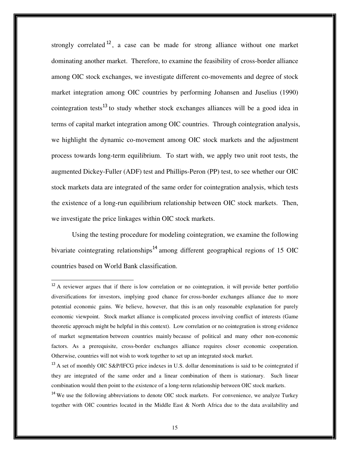strongly correlated  $12$ , a case can be made for strong alliance without one market dominating another market. Therefore, to examine the feasibility of cross-border alliance among OIC stock exchanges, we investigate different co-movements and degree of stock market integration among OIC countries by performing Johansen and Juselius (1990) cointegration tests<sup>13</sup> to study whether stock exchanges alliances will be a good idea in terms of capital market integration among OIC countries. Through cointegration analysis, we highlight the dynamic co-movement among OIC stock markets and the adjustment process towards long-term equilibrium. To start with, we apply two unit root tests, the augmented Dickey-Fuller (ADF) test and Phillips-Peron (PP) test, to see whether our OIC stock markets data are integrated of the same order for cointegration analysis, which tests the existence of a long-run equilibrium relationship between OIC stock markets. Then, we investigate the price linkages within OIC stock markets.

Using the testing procedure for modeling cointegration, we examine the following bivariate cointegrating relationships<sup>14</sup> among different geographical regions of 15 OIC countries based on World Bank classification.

 $12$  A reviewer argues that if there is low correlation or no cointegration, it will provide better portfolio diversifications for investors, implying good chance for cross-border exchanges alliance due to more potential economic gains. We believe, however, that this is an only reasonable explanation for purely economic viewpoint. Stock market alliance is complicated process involving conflict of interests (Game theoretic approach might be helpful in this context). Low correlation or no cointegration is strong evidence of market segmentation between countries mainly because of political and many other non-economic factors. As a prerequisite, cross-border exchanges alliance requires closer economic cooperation. Otherwise, countries will not wish to work together to set up an integrated stock market.

 $^{13}$  A set of monthly OIC S&P/IFCG price indexes in U.S. dollar denominations is said to be cointegrated if they are integrated of the same order and a linear combination of them is stationary. Such linear combination would then point to the existence of a long-term relationship between OIC stock markets.

<sup>&</sup>lt;sup>14</sup> We use the following abbreviations to denote OIC stock markets. For convenience, we analyze Turkey together with OIC countries located in the Middle East & North Africa due to the data availability and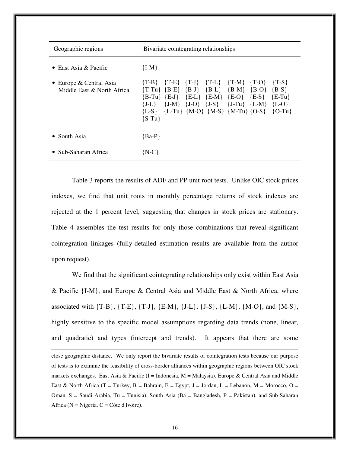| Geographic regions                                    | Bivariate cointegrating relationships                                                                                                                                                                                                                                                                                                                                                     |  |  |  |  |  |  |  |
|-------------------------------------------------------|-------------------------------------------------------------------------------------------------------------------------------------------------------------------------------------------------------------------------------------------------------------------------------------------------------------------------------------------------------------------------------------------|--|--|--|--|--|--|--|
| • East Asia & Pacific                                 | ${I-M}$                                                                                                                                                                                                                                                                                                                                                                                   |  |  |  |  |  |  |  |
| • Europe & Central Asia<br>Middle East & North Africa | $\{T-L\}$<br>$\{T-M\}$<br>$\{T-B\}$<br>$\{T-J\}$<br>${T-E}$<br>$\{T-O\}$<br>$\{T-S\}$<br>$\{B-L\}$<br>${B-M}$<br>$\{T-Tu\}$ $\{B-E\}$<br>$\{B-J\}$<br>$\{B-O\}$<br>${B-S}$<br>$\{E-L\}$ $\{E-M\}$ $\{E-O\}$<br>$\{E-S\}$<br>$\{B-Tu\}$ $\{E-J\}$<br>$E-Tu$<br>${J-M}$ ${J-O}$ ${J-S}$ ${J-Tu}$ ${L-M}$ ${L-O}$<br>$\{J-L\}$<br>${L-S}$ {L-Tu} {M-O} {M-S} {M-Tu} {O-S} {O-Tu}<br>${S-Tu}$ |  |  |  |  |  |  |  |
| • South Asia                                          | ${Ba-P}$                                                                                                                                                                                                                                                                                                                                                                                  |  |  |  |  |  |  |  |
| • Sub-Saharan Africa                                  | $\{N-C\}$                                                                                                                                                                                                                                                                                                                                                                                 |  |  |  |  |  |  |  |

Table 3 reports the results of ADF and PP unit root tests. Unlike OIC stock prices indexes, we find that unit roots in monthly percentage returns of stock indexes are rejected at the 1 percent level, suggesting that changes in stock prices are stationary. Table 4 assembles the test results for only those combinations that reveal significant cointegration linkages (fully-detailed estimation results are available from the author upon request).

We find that the significant cointegrating relationships only exist within East Asia & Pacific  ${I-M}$ , and Europe & Central Asia and Middle East & North Africa, where associated with  $\{T-B\}$ ,  $\{T-E\}$ ,  $\{T-J\}$ ,  $\{E-M\}$ ,  $\{J-L\}$ ,  $\{J-S\}$ ,  $\{L-M\}$ ,  $\{M-O\}$ , and  $\{M-S\}$ , highly sensitive to the specific model assumptions regarding data trends (none, linear, and quadratic) and types (intercept and trends). It appears that there are some

close geographic distance. We only report the bivariate results of cointegration tests because our purpose of tests is to examine the feasibility of cross-border alliances within geographic regions between OIC stock markets exchanges. East Asia & Pacific (I = Indonesia,  $M =$  Malaysia), Europe & Central Asia and Middle East & North Africa (T = Turkey, B = Bahrain, E = Egypt, J = Jordan, L = Lebanon, M = Morocco, O = Oman,  $S =$  Saudi Arabia, Tu = Tunisia), South Asia (Ba = Bangladesh, P = Pakistan), and Sub-Saharan Africa ( $N = N$ igeria,  $C = C$ ôte d'Ivoire).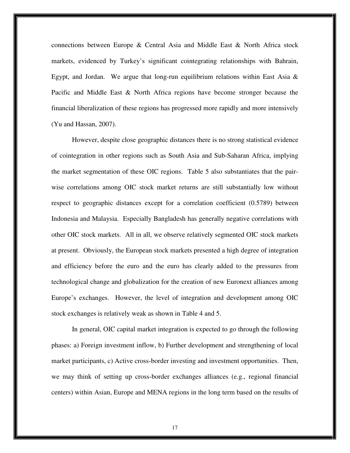connections between Europe & Central Asia and Middle East & North Africa stock markets, evidenced by Turkey's significant cointegrating relationships with Bahrain, Egypt, and Jordan. We argue that long-run equilibrium relations within East Asia  $\&$ Pacific and Middle East & North Africa regions have become stronger because the financial liberalization of these regions has progressed more rapidly and more intensively (Yu and Hassan, 2007).

However, despite close geographic distances there is no strong statistical evidence of cointegration in other regions such as South Asia and Sub-Saharan Africa, implying the market segmentation of these OIC regions. Table 5 also substantiates that the pairwise correlations among OIC stock market returns are still substantially low without respect to geographic distances except for a correlation coefficient (0.5789) between Indonesia and Malaysia. Especially Bangladesh has generally negative correlations with other OIC stock markets. All in all, we observe relatively segmented OIC stock markets at present. Obviously, the European stock markets presented a high degree of integration and efficiency before the euro and the euro has clearly added to the pressures from technological change and globalization for the creation of new Euronext alliances among Europe's exchanges. However, the level of integration and development among OIC stock exchanges is relatively weak as shown in Table 4 and 5.

In general, OIC capital market integration is expected to go through the following phases: a) Foreign investment inflow, b) Further development and strengthening of local market participants, c) Active cross-border investing and investment opportunities. Then, we may think of setting up cross-border exchanges alliances (e.g., regional financial centers) within Asian, Europe and MENA regions in the long term based on the results of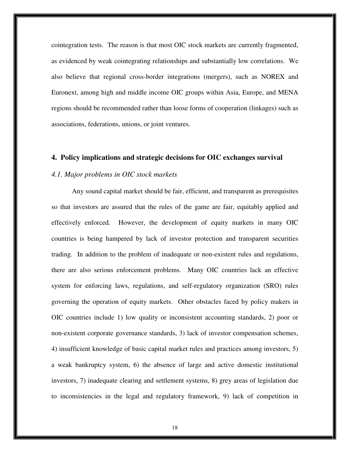cointegration tests. The reason is that most OIC stock markets are currently fragmented, as evidenced by weak cointegrating relationships and substantially low correlations. We also believe that regional cross-border integrations (mergers), such as NOREX and Euronext, among high and middle income OIC groups within Asia, Europe, and MENA regions should be recommended rather than loose forms of cooperation (linkages) such as associations, federations, unions, or joint ventures.

#### **4. Policy implications and strategic decisions for OIC exchanges survival**

#### *4.1. Major problems in OIC stock markets*

Any sound capital market should be fair, efficient, and transparent as prerequisites so that investors are assured that the rules of the game are fair, equitably applied and effectively enforced. However, the development of equity markets in many OIC countries is being hampered by lack of investor protection and transparent securities trading. In addition to the problem of inadequate or non-existent rules and regulations, there are also serious enforcement problems. Many OIC countries lack an effective system for enforcing laws, regulations, and self-regulatory organization (SRO) rules governing the operation of equity markets. Other obstacles faced by policy makers in OIC countries include 1) low quality or inconsistent accounting standards, 2) poor or non-existent corporate governance standards, 3) lack of investor compensation schemes, 4) insufficient knowledge of basic capital market rules and practices among investors, 5) a weak bankruptcy system, 6) the absence of large and active domestic institutional investors, 7) inadequate clearing and settlement systems, 8) grey areas of legislation due to inconsistencies in the legal and regulatory framework, 9) lack of competition in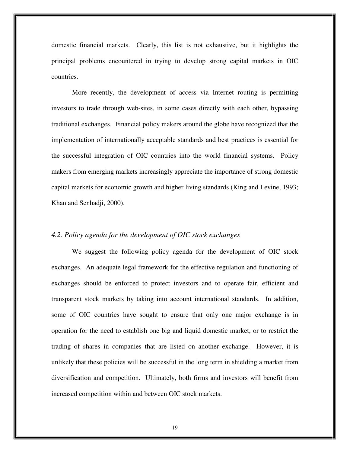domestic financial markets. Clearly, this list is not exhaustive, but it highlights the principal problems encountered in trying to develop strong capital markets in OIC countries.

More recently, the development of access via Internet routing is permitting investors to trade through web-sites, in some cases directly with each other, bypassing traditional exchanges. Financial policy makers around the globe have recognized that the implementation of internationally acceptable standards and best practices is essential for the successful integration of OIC countries into the world financial systems. Policy makers from emerging markets increasingly appreciate the importance of strong domestic capital markets for economic growth and higher living standards (King and Levine, 1993; Khan and Senhadji, 2000).

#### *4.2. Policy agenda for the development of OIC stock exchanges*

We suggest the following policy agenda for the development of OIC stock exchanges. An adequate legal framework for the effective regulation and functioning of exchanges should be enforced to protect investors and to operate fair, efficient and transparent stock markets by taking into account international standards. In addition, some of OIC countries have sought to ensure that only one major exchange is in operation for the need to establish one big and liquid domestic market, or to restrict the trading of shares in companies that are listed on another exchange. However, it is unlikely that these policies will be successful in the long term in shielding a market from diversification and competition. Ultimately, both firms and investors will benefit from increased competition within and between OIC stock markets.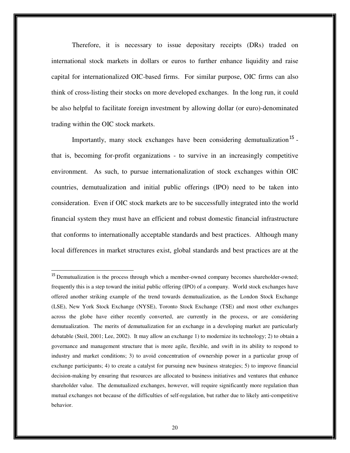Therefore, it is necessary to issue depositary receipts (DRs) traded on international stock markets in dollars or euros to further enhance liquidity and raise capital for internationalized OIC-based firms. For similar purpose, OIC firms can also think of cross-listing their stocks on more developed exchanges. In the long run, it could be also helpful to facilitate foreign investment by allowing dollar (or euro)-denominated trading within the OIC stock markets.

Importantly, many stock exchanges have been considering demutualization<sup>15</sup> that is, becoming for-profit organizations - to survive in an increasingly competitive environment. As such, to pursue internationalization of stock exchanges within OIC countries, demutualization and initial public offerings (IPO) need to be taken into consideration. Even if OIC stock markets are to be successfully integrated into the world financial system they must have an efficient and robust domestic financial infrastructure that conforms to internationally acceptable standards and best practices. Although many local differences in market structures exist, global standards and best practices are at the

<sup>&</sup>lt;sup>15</sup> Demutualization is the process through which a member-owned company becomes shareholder-owned; frequently this is a step toward the initial public offering (IPO) of a company. World stock exchanges have offered another striking example of the trend towards demutualization, as the London Stock Exchange (LSE), New York Stock Exchange (NYSE), Toronto Stock Exchange (TSE) and most other exchanges across the globe have either recently converted, are currently in the process, or are considering demutualization. The merits of demutualization for an exchange in a developing market are particularly debatable (Steil, 2001; Lee, 2002). It may allow an exchange 1) to modernize its technology; 2) to obtain a governance and management structure that is more agile, flexible, and swift in its ability to respond to industry and market conditions; 3) to avoid concentration of ownership power in a particular group of exchange participants; 4) to create a catalyst for pursuing new business strategies; 5) to improve financial decision-making by ensuring that resources are allocated to business initiatives and ventures that enhance shareholder value. The demutualized exchanges, however, will require significantly more regulation than mutual exchanges not because of the difficulties of self-regulation, but rather due to likely anti-competitive behavior.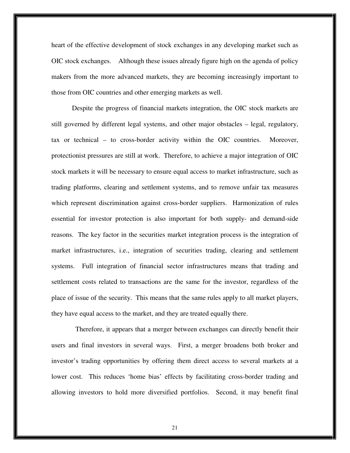heart of the effective development of stock exchanges in any developing market such as OIC stock exchanges. Although these issues already figure high on the agenda of policy makers from the more advanced markets, they are becoming increasingly important to those from OIC countries and other emerging markets as well.

Despite the progress of financial markets integration, the OIC stock markets are still governed by different legal systems, and other major obstacles – legal, regulatory, tax or technical – to cross-border activity within the OIC countries. Moreover, protectionist pressures are still at work. Therefore, to achieve a major integration of OIC stock markets it will be necessary to ensure equal access to market infrastructure, such as trading platforms, clearing and settlement systems, and to remove unfair tax measures which represent discrimination against cross-border suppliers. Harmonization of rules essential for investor protection is also important for both supply- and demand-side reasons. The key factor in the securities market integration process is the integration of market infrastructures, i.e., integration of securities trading, clearing and settlement systems. Full integration of financial sector infrastructures means that trading and settlement costs related to transactions are the same for the investor, regardless of the place of issue of the security. This means that the same rules apply to all market players, they have equal access to the market, and they are treated equally there.

 Therefore, it appears that a merger between exchanges can directly benefit their users and final investors in several ways. First, a merger broadens both broker and investor's trading opportunities by offering them direct access to several markets at a lower cost. This reduces 'home bias' effects by facilitating cross-border trading and allowing investors to hold more diversified portfolios. Second, it may benefit final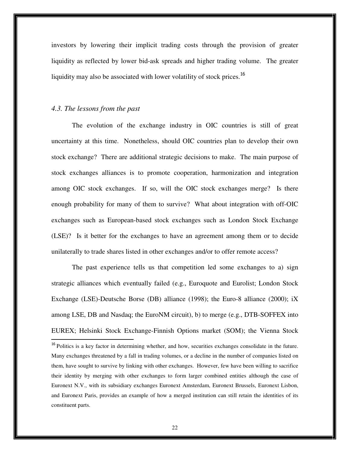investors by lowering their implicit trading costs through the provision of greater liquidity as reflected by lower bid-ask spreads and higher trading volume. The greater liquidity may also be associated with lower volatility of stock prices.<sup>16</sup>

#### *4.3. The lessons from the past*

 $\overline{a}$ 

The evolution of the exchange industry in OIC countries is still of great uncertainty at this time. Nonetheless, should OIC countries plan to develop their own stock exchange? There are additional strategic decisions to make. The main purpose of stock exchanges alliances is to promote cooperation, harmonization and integration among OIC stock exchanges. If so, will the OIC stock exchanges merge? Is there enough probability for many of them to survive? What about integration with off-OIC exchanges such as European-based stock exchanges such as London Stock Exchange (LSE)? Is it better for the exchanges to have an agreement among them or to decide unilaterally to trade shares listed in other exchanges and/or to offer remote access?

The past experience tells us that competition led some exchanges to a) sign strategic alliances which eventually failed (e.g., Euroquote and Eurolist; London Stock Exchange (LSE)-Deutsche Borse (DB) alliance (1998); the Euro-8 alliance (2000); iX among LSE, DB and Nasdaq; the EuroNM circuit), b) to merge (e.g., DTB-SOFFEX into EUREX; Helsinki Stock Exchange-Finnish Options market (SOM); the Vienna Stock

<sup>&</sup>lt;sup>16</sup> Politics is a key factor in determining whether, and how, securities exchanges consolidate in the future. Many exchanges threatened by a fall in trading volumes, or a decline in the number of companies listed on them, have sought to survive by linking with other exchanges. However, few have been willing to sacrifice their identity by merging with other exchanges to form larger combined entities although the case of Euronext N.V., with its subsidiary exchanges Euronext Amsterdam, Euronext Brussels, Euronext Lisbon, and Euronext Paris, provides an example of how a merged institution can still retain the identities of its constituent parts.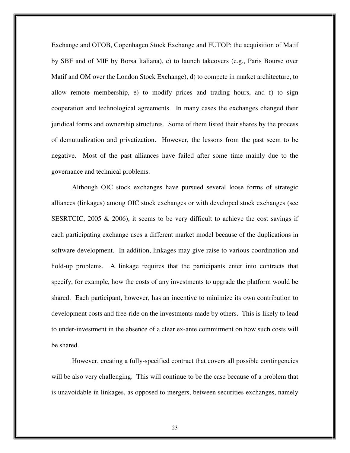Exchange and OTOB, Copenhagen Stock Exchange and FUTOP; the acquisition of Matif by SBF and of MIF by Borsa Italiana), c) to launch takeovers (e.g., Paris Bourse over Matif and OM over the London Stock Exchange), d) to compete in market architecture, to allow remote membership, e) to modify prices and trading hours, and f) to sign cooperation and technological agreements. In many cases the exchanges changed their juridical forms and ownership structures. Some of them listed their shares by the process of demutualization and privatization. However, the lessons from the past seem to be negative. Most of the past alliances have failed after some time mainly due to the governance and technical problems.

 Although OIC stock exchanges have pursued several loose forms of strategic alliances (linkages) among OIC stock exchanges or with developed stock exchanges (see SESRTCIC, 2005 & 2006), it seems to be very difficult to achieve the cost savings if each participating exchange uses a different market model because of the duplications in software development. In addition, linkages may give raise to various coordination and hold-up problems. A linkage requires that the participants enter into contracts that specify, for example, how the costs of any investments to upgrade the platform would be shared. Each participant, however, has an incentive to minimize its own contribution to development costs and free-ride on the investments made by others. This is likely to lead to under-investment in the absence of a clear ex-ante commitment on how such costs will be shared.

However, creating a fully-specified contract that covers all possible contingencies will be also very challenging. This will continue to be the case because of a problem that is unavoidable in linkages, as opposed to mergers, between securities exchanges, namely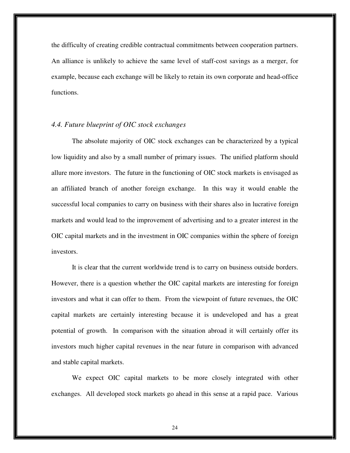the difficulty of creating credible contractual commitments between cooperation partners. An alliance is unlikely to achieve the same level of staff-cost savings as a merger, for example, because each exchange will be likely to retain its own corporate and head-office functions.

#### *4.4. Future blueprint of OIC stock exchanges*

The absolute majority of OIC stock exchanges can be characterized by a typical low liquidity and also by a small number of primary issues. The unified platform should allure more investors. The future in the functioning of OIC stock markets is envisaged as an affiliated branch of another foreign exchange. In this way it would enable the successful local companies to carry on business with their shares also in lucrative foreign markets and would lead to the improvement of advertising and to a greater interest in the OIC capital markets and in the investment in OIC companies within the sphere of foreign investors.

 It is clear that the current worldwide trend is to carry on business outside borders. However, there is a question whether the OIC capital markets are interesting for foreign investors and what it can offer to them. From the viewpoint of future revenues, the OIC capital markets are certainly interesting because it is undeveloped and has a great potential of growth. In comparison with the situation abroad it will certainly offer its investors much higher capital revenues in the near future in comparison with advanced and stable capital markets.

We expect OIC capital markets to be more closely integrated with other exchanges. All developed stock markets go ahead in this sense at a rapid pace. Various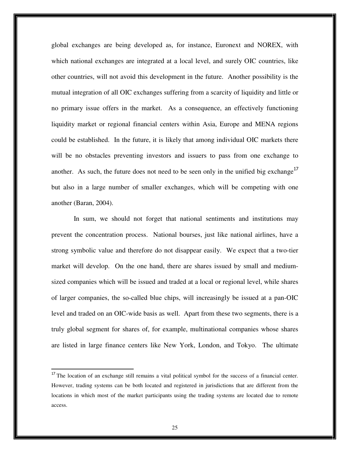global exchanges are being developed as, for instance, Euronext and NOREX, with which national exchanges are integrated at a local level, and surely OIC countries, like other countries, will not avoid this development in the future. Another possibility is the mutual integration of all OIC exchanges suffering from a scarcity of liquidity and little or no primary issue offers in the market. As a consequence, an effectively functioning liquidity market or regional financial centers within Asia, Europe and MENA regions could be established. In the future, it is likely that among individual OIC markets there will be no obstacles preventing investors and issuers to pass from one exchange to another. As such, the future does not need to be seen only in the unified big exchange<sup>17</sup> but also in a large number of smaller exchanges, which will be competing with one another (Baran, 2004).

 In sum, we should not forget that national sentiments and institutions may prevent the concentration process. National bourses, just like national airlines, have a strong symbolic value and therefore do not disappear easily. We expect that a two-tier market will develop. On the one hand, there are shares issued by small and mediumsized companies which will be issued and traded at a local or regional level, while shares of larger companies, the so-called blue chips, will increasingly be issued at a pan-OIC level and traded on an OIC-wide basis as well. Apart from these two segments, there is a truly global segment for shares of, for example, multinational companies whose shares are listed in large finance centers like New York, London, and Tokyo. The ultimate

<sup>&</sup>lt;sup>17</sup> The location of an exchange still remains a vital political symbol for the success of a financial center. However, trading systems can be both located and registered in jurisdictions that are different from the locations in which most of the market participants using the trading systems are located due to remote access.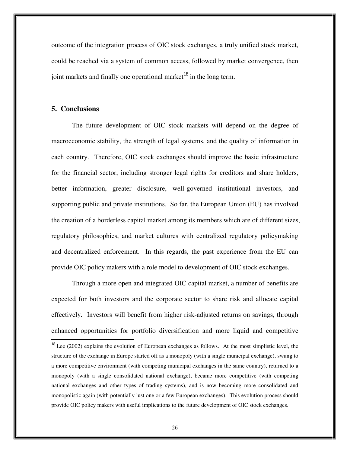outcome of the integration process of OIC stock exchanges, a truly unified stock market, could be reached via a system of common access, followed by market convergence, then joint markets and finally one operational market<sup>18</sup> in the long term.

## **5. Conclusions**

The future development of OIC stock markets will depend on the degree of macroeconomic stability, the strength of legal systems, and the quality of information in each country. Therefore, OIC stock exchanges should improve the basic infrastructure for the financial sector, including stronger legal rights for creditors and share holders, better information, greater disclosure, well-governed institutional investors, and supporting public and private institutions. So far, the European Union (EU) has involved the creation of a borderless capital market among its members which are of different sizes, regulatory philosophies, and market cultures with centralized regulatory policymaking and decentralized enforcement. In this regards, the past experience from the EU can provide OIC policy makers with a role model to development of OIC stock exchanges.

 Through a more open and integrated OIC capital market, a number of benefits are expected for both investors and the corporate sector to share risk and allocate capital effectively. Investors will benefit from higher risk-adjusted returns on savings, through enhanced opportunities for portfolio diversification and more liquid and competitive  $\overline{a}$  $18$  Lee (2002) explains the evolution of European exchanges as follows. At the most simplistic level, the structure of the exchange in Europe started off as a monopoly (with a single municipal exchange), swung to a more competitive environment (with competing municipal exchanges in the same country), returned to a monopoly (with a single consolidated national exchange), became more competitive (with competing national exchanges and other types of trading systems), and is now becoming more consolidated and monopolistic again (with potentially just one or a few European exchanges). This evolution process should provide OIC policy makers with useful implications to the future development of OIC stock exchanges.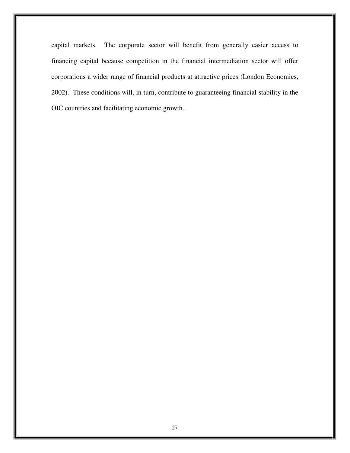capital markets. The corporate sector will benefit from generally easier access to financing capital because competition in the financial intermediation sector will offer corporations a wider range of financial products at attractive prices (London Economics, 2002). These conditions will, in turn, contribute to guaranteeing financial stability in the OIC countries and facilitating economic growth.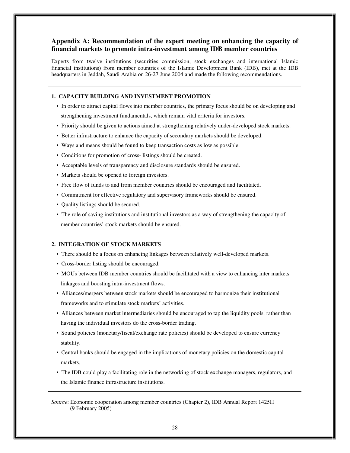## **Appendix A: Recommendation of the expert meeting on enhancing the capacity of financial markets to promote intra-investment among IDB member countries**

Experts from twelve institutions (securities commission, stock exchanges and international Islamic financial institutions) from member countries of the Islamic Development Bank (IDB), met at the IDB headquarters in Jeddah, Saudi Arabia on 26-27 June 2004 and made the following recommendations.

#### **1. CAPACITY BUILDING AND INVESTMENT PROMOTION**

- In order to attract capital flows into member countries, the primary focus should be on developing and strengthening investment fundamentals, which remain vital criteria for investors.
- Priority should be given to actions aimed at strengthening relatively under-developed stock markets.
- Better infrastructure to enhance the capacity of secondary markets should be developed.
- Ways and means should be found to keep transaction costs as low as possible.
- Conditions for promotion of cross- listings should be created.
- Acceptable levels of transparency and disclosure standards should be ensured.
- Markets should be opened to foreign investors.
- Free flow of funds to and from member countries should be encouraged and facilitated.
- Commitment for effective regulatory and supervisory frameworks should be ensured.
- Quality listings should be secured.
- The role of saving institutions and institutional investors as a way of strengthening the capacity of member countries' stock markets should be ensured.

#### **2. INTEGRATION OF STOCK MARKETS**

- There should be a focus on enhancing linkages between relatively well-developed markets.
- Cross-border listing should be encouraged.
- MOUs between IDB member countries should be facilitated with a view to enhancing inter markets linkages and boosting intra-investment flows.
- Alliances/mergers between stock markets should be encouraged to harmonize their institutional frameworks and to stimulate stock markets' activities.
- Alliances between market intermediaries should be encouraged to tap the liquidity pools, rather than having the individual investors do the cross-border trading.
- Sound policies (monetary/fiscal/exchange rate policies) should be developed to ensure currency stability.
- Central banks should be engaged in the implications of monetary policies on the domestic capital markets.
- The IDB could play a facilitating role in the networking of stock exchange managers, regulators, and the Islamic finance infrastructure institutions.

*Source*: Economic cooperation among member countries (Chapter 2), IDB Annual Report 1425H (9 February 2005)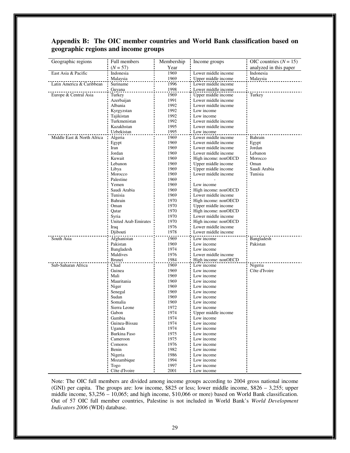## **Appendix B: The OIC member countries and World Bank classification based on geographic regions and income groups**

| Geographic regions         | Full members                | Membership   | Income groups                              | OIC countries $(N = 15)$ |
|----------------------------|-----------------------------|--------------|--------------------------------------------|--------------------------|
|                            | $(N = 57)$                  | Year         |                                            | analyzed in this paper   |
| East Asia & Pacific        | Indonesia                   | 1969         | Lower middle income                        | Indonesia                |
|                            | Malaysia                    | 1969         | Upper middle income                        | Malaysia                 |
| Latin America & Caribbean  | Suriname                    | 1996         | Lower middle income                        |                          |
|                            | Guyana                      | 1998         | Lower middle income                        |                          |
| Europe & Central Asia      | Turkey                      | 1969         | Upper middle income                        | Turkey                   |
|                            | Azerbaijan                  | 1991         | Lower middle income                        |                          |
|                            | Albania                     | 1992         | Lower middle income                        |                          |
|                            | Kyrgyzstan                  | 1992         | Low income                                 |                          |
|                            | Tajikistan                  | 1992         | Low income                                 |                          |
|                            | Turkmenistan                | 1992         | Lower middle income                        |                          |
|                            | Kazakhstan                  | 1995         | Lower middle income                        |                          |
|                            | Uzbekistan                  | 1995         | Low income                                 |                          |
| Middle East & North Africa | Algeria                     | 1969         | Lower middle income                        | Bahrain                  |
|                            | Egypt                       | 1969         | Lower middle income                        | Egypt                    |
|                            | Iran<br>Jordan              | 1969         | Lower middle income<br>Lower middle income | Jordan<br>Lebanon        |
|                            | Kuwait                      | 1969<br>1969 | High income: nonOECD                       | Morocco                  |
|                            | Lebanon                     | 1969         | Upper middle income                        | Oman                     |
|                            | Libya                       | 1969         | Upper middle income                        | Saudi Arabia             |
|                            | Morocco                     | 1969         | Lower middle income                        | Tunisia                  |
|                            | Palestine                   | 1969         |                                            |                          |
|                            | Yemen                       | 1969         | Low income                                 |                          |
|                            | Saudi Arabia                | 1969         | High income: nonOECD                       |                          |
|                            | Tunisia                     | 1969         | Lower middle income                        |                          |
|                            | Bahrain                     | 1970         | High income: nonOECD                       |                          |
|                            | Oman                        | 1970         | Upper middle income                        |                          |
|                            | Qatar                       | 1970         | High income: nonOECD                       |                          |
|                            | Syria                       | 1970         | Lower middle income                        |                          |
|                            | <b>United Arab Emirates</b> | 1970         | High income: nonOECD                       |                          |
|                            | Iraq                        | 1976         | Lower middle income                        |                          |
|                            | Djibouti                    | 1978         | Lower middle income                        |                          |
| South Asia                 | Afghanistan                 | 1969         | Low income                                 | Bangladesh               |
|                            | Pakistan                    | 1969         | Low income                                 | Pakistan                 |
|                            | Bangladesh                  | 1974         | Low income                                 |                          |
|                            | Maldives                    | 1976         | Lower middle income                        |                          |
|                            | Brunei                      | 1984         | High income: nonOECD                       |                          |
| Sub-Saharan Africa         | Chad                        | 1969         | Low income                                 | Nigeria                  |
|                            | Guinea                      | 1969         | Low income                                 | Côte d'Ivoire            |
|                            | Mali                        | 1969         | Low income                                 |                          |
|                            | Mauritania                  | 1969         | Low income                                 |                          |
|                            | Niger                       | 1969         | Low income                                 |                          |
|                            | Senegal                     | 1969         | Low income                                 |                          |
|                            | Sudan                       | 1969         | Low income                                 |                          |
|                            | Somalia                     | 1969         | Low income                                 |                          |
|                            | Sierra Leone                | 1972         | Low income                                 |                          |
|                            | Gabon                       | 1974         | Upper middle income                        |                          |
|                            | Gambia                      | 1974         | Low income                                 |                          |
|                            | Guinea-Bissau               | 1974         | Low income                                 |                          |
|                            | Uganda<br>Burkina Faso      | 1974<br>1975 | Low income<br>Low income                   |                          |
|                            |                             | 1975         | Low income                                 |                          |
|                            | Cameroon<br>Comoros         | 1976         | Low income                                 |                          |
|                            | Benin                       | 1982         | Low income                                 |                          |
|                            | Nigeria                     | 1986         | Low income                                 |                          |
|                            | Mozambique                  | 1994         | Low income                                 |                          |
|                            | Togo                        | 1997         | Low income                                 |                          |
|                            | Côte d'Ivoire               | 2001         | Low income                                 |                          |

Note: The OIC full members are divided among income groups according to 2004 gross national income (GNI) per capita. The groups are: low income, \$825 or less; lower middle income, \$826 – 3,255; upper middle income, \$3,256 – 10,065; and high income, \$10,066 or more) based on World Bank classification. Out of 57 OIC full member countries, Palestine is not included in World Bank's *World Development Indicators 2006* (WDI) database.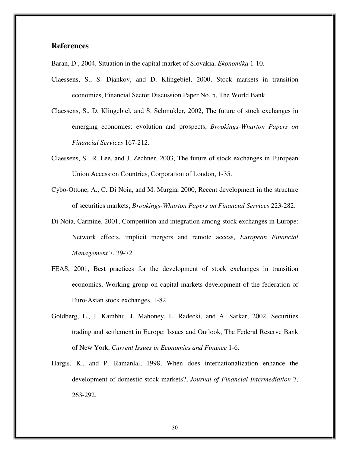## **References**

Baran, D., 2004, Situation in the capital market of Slovakia, *Ekonomika* 1-10.

- Claessens, S., S. Djankov, and D. Klingebiel, 2000, Stock markets in transition economies, Financial Sector Discussion Paper No. 5, The World Bank.
- Claessens, S., D. Klingebiel, and S. Schmukler, 2002, The future of stock exchanges in emerging economies: evolution and prospects, *Brookings-Wharton Papers on Financial Services* 167-212.
- Claessens, S., R. Lee, and J. Zechner, 2003, The future of stock exchanges in European Union Accession Countries, Corporation of London, 1-35.
- Cybo-Ottone, A., C. Di Noia, and M. Murgia, 2000, Recent development in the structure of securities markets, *Brookings-Wharton Papers on Financial Services* 223-282.
- Di Noia, Carmine, 2001, Competition and integration among stock exchanges in Europe: Network effects, implicit mergers and remote access, *European Financial Management* 7, 39-72.
- FEAS, 2001, Best practices for the development of stock exchanges in transition economics, Working group on capital markets development of the federation of Euro-Asian stock exchanges, 1-82.
- Goldberg, L., J. Kambhu, J. Mahoney, L. Radecki, and A. Sarkar, 2002, Securities trading and settlement in Europe: Issues and Outlook, The Federal Reserve Bank of New York, *Current Issues in Economics and Finance* 1-6.
- Hargis, K., and P. Ramanlal, 1998, When does internationalization enhance the development of domestic stock markets?, *Journal of Financial Intermediation* 7, 263-292.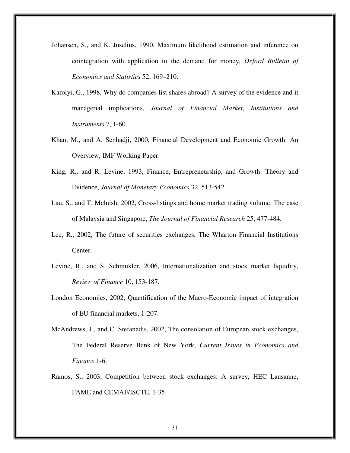- Johansen, S., and K. Juselius, 1990, Maximum likelihood estimation and inference on cointegration with application to the demand for money, *Oxford Bulletin of Economics and Statistics* 52, 169–210.
- Karolyi, G., 1998, Why do companies list shares abroad? A survey of the evidence and it managerial implications, *Journal of Financial Market, Institutions and Instruments* 7, 1-60.
- Khan, M., and A. Senhadji, 2000, Financial Development and Economic Growth: An Overview, IMF Working Paper.
- King, R., and R. Levine, 1993, Finance, Entrepreneurship, and Growth: Theory and Evidence, *Journal of Monetary Economics* 32, 513-542.
- Lau, S., and T. Mclnish, 2002, Cross-listings and home market trading volume: The case of Malaysia and Singapore, *The Journal of Financial Research* 25, 477-484.
- Lee, R., 2002, The future of securities exchanges, The Wharton Financial Institutions Center.
- Levine, R., and S. Schmukler, 2006, Internationalization and stock market liquidity, *Review of Finance* 10, 153-187.
- London Economics, 2002, Quantification of the Macro-Economic impact of integration of EU financial markets, 1-207.
- McAndrews, J., and C. Stefanadis, 2002, The consolation of European stock exchanges, The Federal Reserve Bank of New York, *Current Issues in Economics and Finance* 1-6.
- Ramos, S., 2003, Competition between stock exchanges: A survey, HEC Lausanne, FAME and CEMAF/ISCTE, 1-35.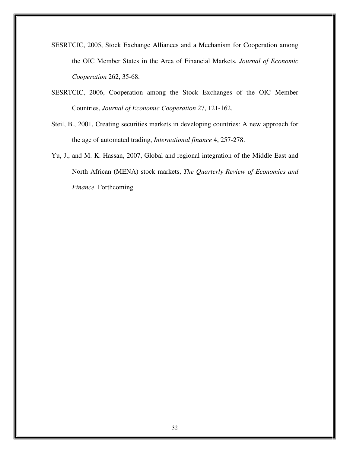- SESRTCIC, 2005, Stock Exchange Alliances and a Mechanism for Cooperation among the OIC Member States in the Area of Financial Markets, *Journal of Economic Cooperation* 262, 35-68.
- SESRTCIC, 2006, Cooperation among the Stock Exchanges of the OIC Member Countries, *Journal of Economic Cooperation* 27, 121-162.
- Steil, B., 2001, Creating securities markets in developing countries: A new approach for the age of automated trading, *International finance* 4, 257-278.
- Yu, J., and M. K. Hassan, 2007, Global and regional integration of the Middle East and North African (MENA) stock markets, *The Quarterly Review of Economics and Finance,* Forthcoming.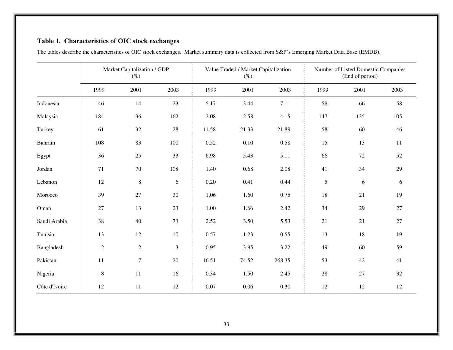## **Table 1. Characteristics of OIC stock exchanges**

|               | Market Capitalization / GDP<br>$(\%)$ |                |            |       | Value Traded / Market Capitalization<br>$(\%)$ |        | Number of Listed Domestic Companies<br>(End of period) |            |        |  |
|---------------|---------------------------------------|----------------|------------|-------|------------------------------------------------|--------|--------------------------------------------------------|------------|--------|--|
|               | 1999                                  | 2001           | 2003       | 1999  | 2001                                           | 2003   | 1999                                                   | 2001       | 2003   |  |
| Indonesia     | 46                                    | 14             | 23         | 5.17  | 3.44                                           | 7.11   | 58                                                     | 66         | 58     |  |
| Malaysia      | 184                                   | 136            | 162        | 2.08  | 2.58                                           | 4.15   | 147                                                    | 135        | 105    |  |
| Turkey        | 61                                    | $32\,$         | 28         | 11.58 | 21.33                                          | 21.89  | 58                                                     | 60         | 46     |  |
| Bahrain       | 108                                   | 83             | 100        | 0.52  | 0.10                                           | 0.58   | 15                                                     | 13         | 11     |  |
| Egypt         | 36                                    | 25             | 33         | 6.98  | 5.43                                           | 5.11   | 66                                                     | 72         | 52     |  |
| Jordan        | 71                                    | 70             | 108        | 1.40  | 0.68                                           | 2.08   | 41                                                     | 34         | 29     |  |
| Lebanon       | 12                                    | $\,8\,$        | $\sqrt{6}$ | 0.20  | 0.41                                           | 0.44   | 5                                                      | $\sqrt{6}$ | 6      |  |
| Morocco       | 39                                    | 27             | 30         | 1.06  | 1.60                                           | 0.75   | $18\,$                                                 | 21         | 19     |  |
| Oman          | 27                                    | 13             | 23         | 1.00  | 1.66                                           | 2.42   | 34                                                     | 29         | $27\,$ |  |
| Saudi Arabia  | 38                                    | 40             | 73         | 2.52  | 3.50                                           | 5.53   | 21                                                     | 21         | $27\,$ |  |
| Tunisia       | 13                                    | 12             | 10         | 0.57  | 1.23                                           | 0.55   | 13                                                     | 18         | 19     |  |
| Bangladesh    | $\overline{2}$                        | $\overline{2}$ | 3          | 0.95  | 3.95                                           | 3.22   | 49                                                     | 60         | 59     |  |
| Pakistan      | 11                                    | $\tau$         | $20\,$     | 16.51 | 74.52                                          | 268.35 | 53                                                     | 42         | 41     |  |
| Nigeria       | $\,8\,$                               | 11             | 16         | 0.34  | 1.50                                           | 2.45   | 28                                                     | 27         | 32     |  |
| Côte d'Ivoire | 12                                    | 11             | 12         | 0.07  | 0.06                                           | 0.30   | 12                                                     | 12         | 12     |  |

The tables describe the characteristics of OIC stock exchanges. Market summary data is collected from S&P's Emerging Market Data Base (EMDB).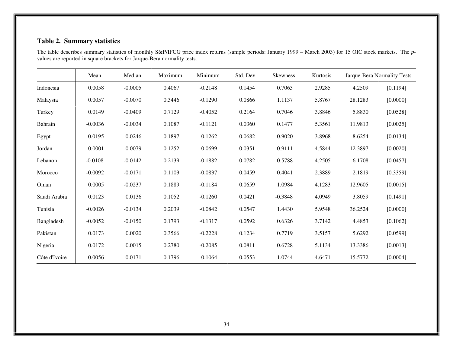## **Table 2. Summary statistics**

The table describes summary statistics of monthly S&P/IFCG price index returns (sample periods: January 1999 – March 2003) for 15 OIC stock markets. The *p* values are reported in square brackets for Jarque-Bera normality tests.

|               | Mean      | Median    | Maximum | Minimum   | Std. Dev. | Skewness  | Kurtosis |         | Jarque-Bera Normality Tests |
|---------------|-----------|-----------|---------|-----------|-----------|-----------|----------|---------|-----------------------------|
| Indonesia     | 0.0058    | $-0.0005$ | 0.4067  | $-0.2148$ | 0.1454    | 0.7063    | 2.9285   | 4.2509  | [0.1194]                    |
| Malaysia      | 0.0057    | $-0.0070$ | 0.3446  | $-0.1290$ | 0.0866    | 1.1137    | 5.8767   | 28.1283 | [0.0000]                    |
| Turkey        | 0.0149    | $-0.0409$ | 0.7129  | $-0.4052$ | 0.2164    | 0.7046    | 3.8846   | 5.8830  | [0.0528]                    |
| Bahrain       | $-0.0036$ | $-0.0034$ | 0.1087  | $-0.1121$ | 0.0360    | 0.1477    | 5.3561   | 11.9813 | [0.0025]                    |
| Egypt         | $-0.0195$ | $-0.0246$ | 0.1897  | $-0.1262$ | 0.0682    | 0.9020    | 3.8968   | 8.6254  | [0.0134]                    |
| Jordan        | 0.0001    | $-0.0079$ | 0.1252  | $-0.0699$ | 0.0351    | 0.9111    | 4.5844   | 12.3897 | [0.0020]                    |
| Lebanon       | $-0.0108$ | $-0.0142$ | 0.2139  | $-0.1882$ | 0.0782    | 0.5788    | 4.2505   | 6.1708  | [0.0457]                    |
| Morocco       | $-0.0092$ | $-0.0171$ | 0.1103  | $-0.0837$ | 0.0459    | 0.4041    | 2.3889   | 2.1819  | [0.3359]                    |
| Oman          | 0.0005    | $-0.0237$ | 0.1889  | $-0.1184$ | 0.0659    | 1.0984    | 4.1283   | 12.9605 | [0.0015]                    |
| Saudi Arabia  | 0.0123    | 0.0136    | 0.1052  | $-0.1260$ | 0.0421    | $-0.3848$ | 4.0949   | 3.8059  | [0.1491]                    |
| Tunisia       | $-0.0026$ | $-0.0134$ | 0.2039  | $-0.0842$ | 0.0547    | 1.4430    | 5.9548   | 36.2524 | [0.0000]                    |
| Bangladesh    | $-0.0052$ | $-0.0150$ | 0.1793  | $-0.1317$ | 0.0592    | 0.6326    | 3.7142   | 4.4853  | [0.1062]                    |
| Pakistan      | 0.0173    | 0.0020    | 0.3566  | $-0.2228$ | 0.1234    | 0.7719    | 3.5157   | 5.6292  | [0.0599]                    |
| Nigeria       | 0.0172    | 0.0015    | 0.2780  | $-0.2085$ | 0.0811    | 0.6728    | 5.1134   | 13.3386 | [0.0013]                    |
| Côte d'Ivoire | $-0.0056$ | $-0.0171$ | 0.1796  | $-0.1064$ | 0.0553    | 1.0744    | 4.6471   | 15.5772 | [0.0004]                    |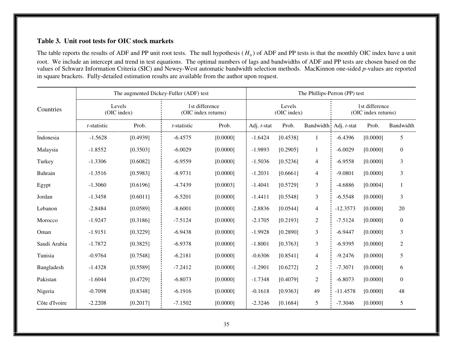## **Table 3. Unit root tests for OIC stock markets**

The table reports the results of ADF and PP unit root tests. The null hypothesis  $(H_0)$  of ADF and PP tests is that the monthly OIC index have a unit root. We include an intercept and trend in test equations. The optimal numbers of lags and bandwidths of ADF and PP tests are chosen based on the<br>values of Schwarz Information Criteria (SIC) and Newey-West automatic bandwi in square brackets. Fully-detailed estimation results are available from the author upon request.

| Countries     |             | The augmented Dickey-Fuller (ADF) test |                                       |          | The Phillips-Perron (PP) test |          |                                       |             |          |                  |  |
|---------------|-------------|----------------------------------------|---------------------------------------|----------|-------------------------------|----------|---------------------------------------|-------------|----------|------------------|--|
|               |             | Levels<br>(OIC index)                  | 1st difference<br>(OIC index returns) |          | Levels<br>(OIC index)         |          | 1st difference<br>(OIC index returns) |             |          |                  |  |
|               | t-statistic | Prob.                                  | t-statistic                           | Prob.    | Adj. t-stat                   | Prob.    | Bandwidth                             | Adj. t-stat | Prob.    | Bandwidth        |  |
| Indonesia     | $-1.5628$   | [0.4939]                               | $-6.4575$                             | [0.0000] | $-1.6424$                     | [0.4538] | $\mathbf{1}$                          | $-6.4396$   | [0.0000] | 5                |  |
| Malaysia      | $-1.8552$   | [0.3503]                               | $-6.0029$                             | [0.0000] | $-1.9893$                     | [0.2905] | $\mathbf{1}$                          | $-6.0029$   | [0.0000] | $\mathbf{0}$     |  |
| Turkey        | $-1.3306$   | [0.6082]                               | $-6.9559$                             | [0.0000] | $-1.5036$                     | [0.5236] | $\overline{4}$                        | $-6.9558$   | [0.0000] | 3                |  |
| Bahrain       | $-1.3516$   | [0.5983]                               | $-8.9731$                             | [0.0000] | $-1.2031$                     | [0.6661] | $\overline{4}$                        | $-9.0801$   | [0.0000] | 3                |  |
| Egypt         | $-1.3060$   | [0.6196]                               | $-4.7439$                             | [0.0003] | $-1.4041$                     | [0.5729] | $\overline{3}$                        | $-4.6886$   | [0.0004] | $\mathbf{1}$     |  |
| Jordan        | $-1.3458$   | [0.6011]                               | $-6.5201$                             | [0.0000] | $-1.4411$                     | [0.5548] | $\mathfrak{Z}$                        | $-6.5548$   | [0.0000] | 3                |  |
| Lebanon       | $-2.8484$   | [0.0589]                               | $-8.6001$                             | [0.0000] | $-2.8836$                     | [0.0544] | $\overline{4}$                        | $-12.3573$  | [0.0000] | 20               |  |
| Morocco       | $-1.9247$   | [0.3186]                               | $-7.5124$                             | [0.0000] | $-2.1705$                     | [0.2193] | 2                                     | $-7.5124$   | [0.0000] | $\boldsymbol{0}$ |  |
| Oman          | $-1.9151$   | [0.3229]                               | $-6.9438$                             | [0.0000] | $-1.9928$                     | [0.2890] | 3                                     | $-6.9447$   | [0.0000] | 3                |  |
| Saudi Arabia  | $-1.7872$   | [0.3825]                               | $-6.9378$                             | [0.0000] | $-1.8001$                     | [0.3763] | 3                                     | $-6.9395$   | [0.0000] | $\overline{2}$   |  |
| Tunisia       | $-0.9764$   | [0.7548]                               | $-6.2181$                             | [0.0000] | $-0.6306$                     | [0.8541] | $\overline{4}$                        | $-9.2476$   | [0.0000] | 5                |  |
| Bangladesh    | $-1.4328$   | [0.5589]                               | $-7.2412$                             | [0.0000] | $-1.2901$                     | [0.6272] | $\overline{2}$                        | $-7.3071$   | [0.0000] | 6                |  |
| Pakistan      | $-1.6044$   | [0.4729]                               | $-6.8073$                             | [0.0000] | $-1.7348$                     | [0.4079] | 2                                     | $-6.8073$   | [0.0000] | $\boldsymbol{0}$ |  |
| Nigeria       | $-0.7098$   | [0.8348]                               | $-6.1916$                             | [0.0000] | $-0.1618$                     | [0.9363] | 49                                    | $-11.4578$  | [0.0000] | 48               |  |
| Côte d'Ivoire | $-2.2208$   | [0.2017]                               | $-7.1502$                             | [0.0000] | $-2.3246$                     | [0.1684] | 5                                     | $-7.3046$   | [0.0000] | 5                |  |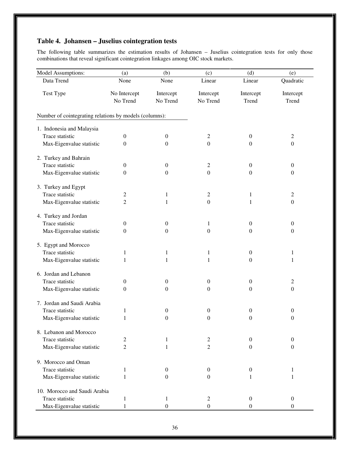## **Table 4. Johansen – Juselius cointegration tests**

The following table summarizes the estimation results of Johansen – Juselius cointegration tests for only those combinations that reveal significant cointegration linkages among OIC stock markets.

| Model Assumptions:                                     | (a)              | (b)              | (c)              | (d)              | (e)              |
|--------------------------------------------------------|------------------|------------------|------------------|------------------|------------------|
| Data Trend                                             | None             | None             | Linear           | Linear           | Quadratic        |
| Test Type                                              | No Intercept     | Intercept        | Intercept        | Intercept        | Intercept        |
|                                                        | No Trend         | No Trend         | No Trend         | Trend            | Trend            |
| Number of cointegrating relations by models (columns): |                  |                  |                  |                  |                  |
| 1. Indonesia and Malaysia                              |                  |                  |                  |                  |                  |
| Trace statistic                                        | $\boldsymbol{0}$ | $\boldsymbol{0}$ | 2                | $\boldsymbol{0}$ | $\overline{c}$   |
| Max-Eigenvalue statistic                               | $\theta$         | $\theta$         | $\boldsymbol{0}$ | $\Omega$         | $\boldsymbol{0}$ |
| 2. Turkey and Bahrain                                  |                  |                  |                  |                  |                  |
| Trace statistic                                        | $\boldsymbol{0}$ | $\boldsymbol{0}$ | 2                | $\boldsymbol{0}$ | $\boldsymbol{0}$ |
| Max-Eigenvalue statistic                               | $\theta$         | $\theta$         | $\boldsymbol{0}$ | $\boldsymbol{0}$ | $\boldsymbol{0}$ |
| 3. Turkey and Egypt                                    |                  |                  |                  |                  |                  |
| Trace statistic                                        | 2                | 1                | 2                | 1                | 2                |
| Max-Eigenvalue statistic                               | $\overline{2}$   | 1                | $\boldsymbol{0}$ | 1                | $\boldsymbol{0}$ |
| 4. Turkey and Jordan                                   |                  |                  |                  |                  |                  |
| Trace statistic                                        | $\theta$         | $\boldsymbol{0}$ | 1                | $\overline{0}$   | $\boldsymbol{0}$ |
| Max-Eigenvalue statistic                               | $\theta$         | $\theta$         | $\boldsymbol{0}$ | $\mathbf{0}$     | $\boldsymbol{0}$ |
| 5. Egypt and Morocco                                   |                  |                  |                  |                  |                  |
| Trace statistic                                        | 1                | 1                | $\mathbf{1}$     | $\boldsymbol{0}$ | $\mathbf{1}$     |
| Max-Eigenvalue statistic                               | 1                | 1                | 1                | $\boldsymbol{0}$ | 1                |
| 6. Jordan and Lebanon                                  |                  |                  |                  |                  |                  |
| Trace statistic                                        | $\mathbf{0}$     | $\boldsymbol{0}$ | $\boldsymbol{0}$ | $\overline{0}$   | 2                |
| Max-Eigenvalue statistic                               | $\theta$         | $\theta$         | 0                | $\mathbf{0}$     | $\boldsymbol{0}$ |
| 7. Jordan and Saudi Arabia                             |                  |                  |                  |                  |                  |
| Trace statistic                                        | 1                | $\boldsymbol{0}$ | $\boldsymbol{0}$ | $\boldsymbol{0}$ | $\boldsymbol{0}$ |
| Max-Eigenvalue statistic                               | 1                | $\boldsymbol{0}$ | $\boldsymbol{0}$ | $\boldsymbol{0}$ | $\boldsymbol{0}$ |
| 8. Lebanon and Morocco                                 |                  |                  |                  |                  |                  |
| Trace statistic                                        | 2                | 1                | 2                | $\theta$         | $\boldsymbol{0}$ |
| Max-Eigenvalue statistic                               | $\overline{2}$   | 1                | $\overline{c}$   | $\mathbf{0}$     | $\mathbf{0}$     |
| 9. Morocco and Oman                                    |                  |                  |                  |                  |                  |
| Trace statistic                                        | 1                | $\boldsymbol{0}$ | $\boldsymbol{0}$ | $\boldsymbol{0}$ | 1                |
| Max-Eigenvalue statistic                               | 1                | 0                | 0                | 1                | 1                |
| 10. Morocco and Saudi Arabia                           |                  |                  |                  |                  |                  |
| Trace statistic                                        | 1                | 1                | 2                | $\boldsymbol{0}$ | $\boldsymbol{0}$ |
| Max-Eigenvalue statistic                               | 1                | $\boldsymbol{0}$ | $\boldsymbol{0}$ | $\theta$         | $\boldsymbol{0}$ |